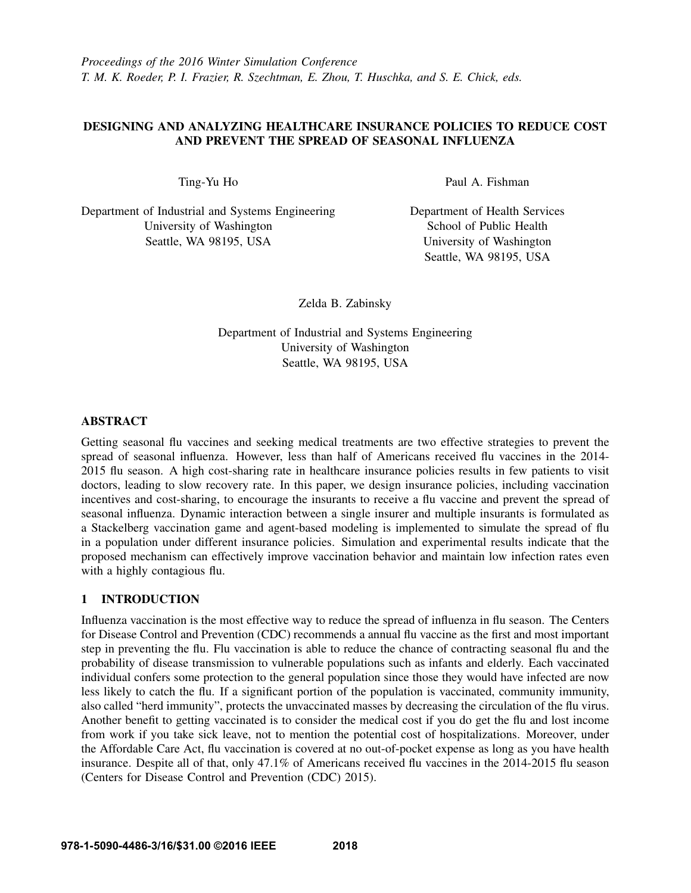# DESIGNING AND ANALYZING HEALTHCARE INSURANCE POLICIES TO REDUCE COST AND PREVENT THE SPREAD OF SEASONAL INFLUENZA

Ting-Yu Ho

Department of Industrial and Systems Engineering University of Washington Seattle, WA 98195, USA

Paul A. Fishman

Department of Health Services School of Public Health University of Washington Seattle, WA 98195, USA

Zelda B. Zabinsky

Department of Industrial and Systems Engineering University of Washington Seattle, WA 98195, USA

# ABSTRACT

Getting seasonal flu vaccines and seeking medical treatments are two effective strategies to prevent the spread of seasonal influenza. However, less than half of Americans received flu vaccines in the 2014- 2015 flu season. A high cost-sharing rate in healthcare insurance policies results in few patients to visit doctors, leading to slow recovery rate. In this paper, we design insurance policies, including vaccination incentives and cost-sharing, to encourage the insurants to receive a flu vaccine and prevent the spread of seasonal influenza. Dynamic interaction between a single insurer and multiple insurants is formulated as a Stackelberg vaccination game and agent-based modeling is implemented to simulate the spread of flu in a population under different insurance policies. Simulation and experimental results indicate that the proposed mechanism can effectively improve vaccination behavior and maintain low infection rates even with a highly contagious flu.

# 1 INTRODUCTION

Influenza vaccination is the most effective way to reduce the spread of influenza in flu season. The Centers for Disease Control and Prevention (CDC) recommends a annual flu vaccine as the first and most important step in preventing the flu. Flu vaccination is able to reduce the chance of contracting seasonal flu and the probability of disease transmission to vulnerable populations such as infants and elderly. Each vaccinated individual confers some protection to the general population since those they would have infected are now less likely to catch the flu. If a significant portion of the population is vaccinated, community immunity, also called "herd immunity", protects the unvaccinated masses by decreasing the circulation of the flu virus. Another benefit to getting vaccinated is to consider the medical cost if you do get the flu and lost income from work if you take sick leave, not to mention the potential cost of hospitalizations. Moreover, under the Affordable Care Act, flu vaccination is covered at no out-of-pocket expense as long as you have health insurance. Despite all of that, only 47.1% of Americans received flu vaccines in the 2014-2015 flu season (Centers for Disease Control and Prevention (CDC) 2015).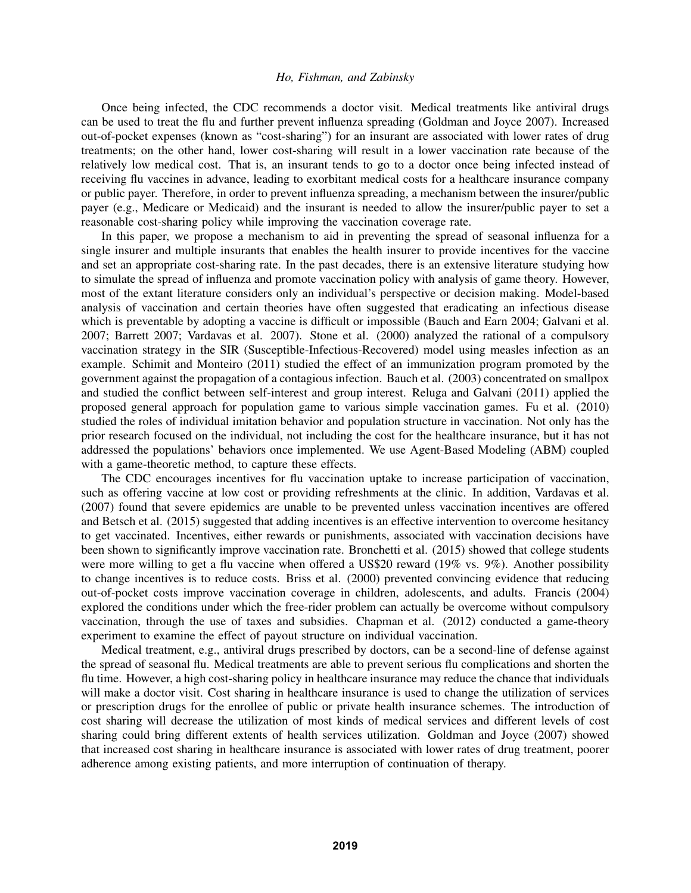Once being infected, the CDC recommends a doctor visit. Medical treatments like antiviral drugs can be used to treat the flu and further prevent influenza spreading (Goldman and Joyce 2007). Increased out-of-pocket expenses (known as "cost-sharing") for an insurant are associated with lower rates of drug treatments; on the other hand, lower cost-sharing will result in a lower vaccination rate because of the relatively low medical cost. That is, an insurant tends to go to a doctor once being infected instead of receiving flu vaccines in advance, leading to exorbitant medical costs for a healthcare insurance company or public payer. Therefore, in order to prevent influenza spreading, a mechanism between the insurer/public payer (e.g., Medicare or Medicaid) and the insurant is needed to allow the insurer/public payer to set a reasonable cost-sharing policy while improving the vaccination coverage rate.

In this paper, we propose a mechanism to aid in preventing the spread of seasonal influenza for a single insurer and multiple insurants that enables the health insurer to provide incentives for the vaccine and set an appropriate cost-sharing rate. In the past decades, there is an extensive literature studying how to simulate the spread of influenza and promote vaccination policy with analysis of game theory. However, most of the extant literature considers only an individual's perspective or decision making. Model-based analysis of vaccination and certain theories have often suggested that eradicating an infectious disease which is preventable by adopting a vaccine is difficult or impossible (Bauch and Earn 2004; Galvani et al. 2007; Barrett 2007; Vardavas et al. 2007). Stone et al. (2000) analyzed the rational of a compulsory vaccination strategy in the SIR (Susceptible-Infectious-Recovered) model using measles infection as an example. Schimit and Monteiro (2011) studied the effect of an immunization program promoted by the government against the propagation of a contagious infection. Bauch et al. (2003) concentrated on smallpox and studied the conflict between self-interest and group interest. Reluga and Galvani (2011) applied the proposed general approach for population game to various simple vaccination games. Fu et al. (2010) studied the roles of individual imitation behavior and population structure in vaccination. Not only has the prior research focused on the individual, not including the cost for the healthcare insurance, but it has not addressed the populations' behaviors once implemented. We use Agent-Based Modeling (ABM) coupled with a game-theoretic method, to capture these effects.

The CDC encourages incentives for flu vaccination uptake to increase participation of vaccination, such as offering vaccine at low cost or providing refreshments at the clinic. In addition, Vardavas et al. (2007) found that severe epidemics are unable to be prevented unless vaccination incentives are offered and Betsch et al. (2015) suggested that adding incentives is an effective intervention to overcome hesitancy to get vaccinated. Incentives, either rewards or punishments, associated with vaccination decisions have been shown to significantly improve vaccination rate. Bronchetti et al. (2015) showed that college students were more willing to get a flu vaccine when offered a US\$20 reward (19% vs. 9%). Another possibility to change incentives is to reduce costs. Briss et al. (2000) prevented convincing evidence that reducing out-of-pocket costs improve vaccination coverage in children, adolescents, and adults. Francis (2004) explored the conditions under which the free-rider problem can actually be overcome without compulsory vaccination, through the use of taxes and subsidies. Chapman et al. (2012) conducted a game-theory experiment to examine the effect of payout structure on individual vaccination.

Medical treatment, e.g., antiviral drugs prescribed by doctors, can be a second-line of defense against the spread of seasonal flu. Medical treatments are able to prevent serious flu complications and shorten the flu time. However, a high cost-sharing policy in healthcare insurance may reduce the chance that individuals will make a doctor visit. Cost sharing in healthcare insurance is used to change the utilization of services or prescription drugs for the enrollee of public or private health insurance schemes. The introduction of cost sharing will decrease the utilization of most kinds of medical services and different levels of cost sharing could bring different extents of health services utilization. Goldman and Joyce (2007) showed that increased cost sharing in healthcare insurance is associated with lower rates of drug treatment, poorer adherence among existing patients, and more interruption of continuation of therapy.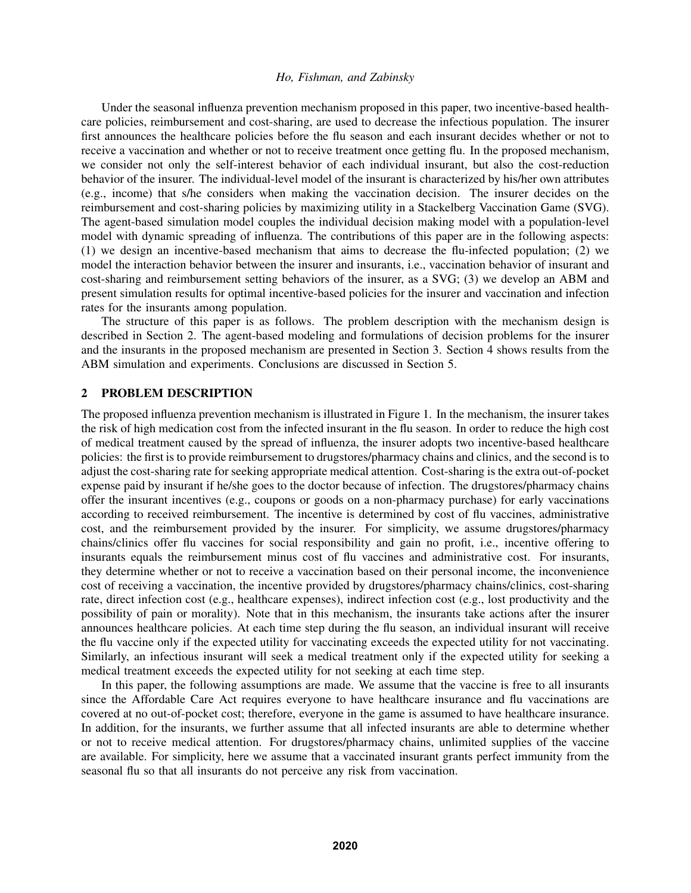Under the seasonal influenza prevention mechanism proposed in this paper, two incentive-based healthcare policies, reimbursement and cost-sharing, are used to decrease the infectious population. The insurer first announces the healthcare policies before the flu season and each insurant decides whether or not to receive a vaccination and whether or not to receive treatment once getting flu. In the proposed mechanism, we consider not only the self-interest behavior of each individual insurant, but also the cost-reduction behavior of the insurer. The individual-level model of the insurant is characterized by his/her own attributes (e.g., income) that s/he considers when making the vaccination decision. The insurer decides on the reimbursement and cost-sharing policies by maximizing utility in a Stackelberg Vaccination Game (SVG). The agent-based simulation model couples the individual decision making model with a population-level model with dynamic spreading of influenza. The contributions of this paper are in the following aspects: (1) we design an incentive-based mechanism that aims to decrease the flu-infected population; (2) we model the interaction behavior between the insurer and insurants, i.e., vaccination behavior of insurant and cost-sharing and reimbursement setting behaviors of the insurer, as a SVG; (3) we develop an ABM and present simulation results for optimal incentive-based policies for the insurer and vaccination and infection rates for the insurants among population.

The structure of this paper is as follows. The problem description with the mechanism design is described in Section 2. The agent-based modeling and formulations of decision problems for the insurer and the insurants in the proposed mechanism are presented in Section 3. Section 4 shows results from the ABM simulation and experiments. Conclusions are discussed in Section 5.

### 2 PROBLEM DESCRIPTION

The proposed influenza prevention mechanism is illustrated in Figure 1. In the mechanism, the insurer takes the risk of high medication cost from the infected insurant in the flu season. In order to reduce the high cost of medical treatment caused by the spread of influenza, the insurer adopts two incentive-based healthcare policies: the first is to provide reimbursement to drugstores/pharmacy chains and clinics, and the second is to adjust the cost-sharing rate for seeking appropriate medical attention. Cost-sharing is the extra out-of-pocket expense paid by insurant if he/she goes to the doctor because of infection. The drugstores/pharmacy chains offer the insurant incentives (e.g., coupons or goods on a non-pharmacy purchase) for early vaccinations according to received reimbursement. The incentive is determined by cost of flu vaccines, administrative cost, and the reimbursement provided by the insurer. For simplicity, we assume drugstores/pharmacy chains/clinics offer flu vaccines for social responsibility and gain no profit, i.e., incentive offering to insurants equals the reimbursement minus cost of flu vaccines and administrative cost. For insurants, they determine whether or not to receive a vaccination based on their personal income, the inconvenience cost of receiving a vaccination, the incentive provided by drugstores/pharmacy chains/clinics, cost-sharing rate, direct infection cost (e.g., healthcare expenses), indirect infection cost (e.g., lost productivity and the possibility of pain or morality). Note that in this mechanism, the insurants take actions after the insurer announces healthcare policies. At each time step during the flu season, an individual insurant will receive the flu vaccine only if the expected utility for vaccinating exceeds the expected utility for not vaccinating. Similarly, an infectious insurant will seek a medical treatment only if the expected utility for seeking a medical treatment exceeds the expected utility for not seeking at each time step.

In this paper, the following assumptions are made. We assume that the vaccine is free to all insurants since the Affordable Care Act requires everyone to have healthcare insurance and flu vaccinations are covered at no out-of-pocket cost; therefore, everyone in the game is assumed to have healthcare insurance. In addition, for the insurants, we further assume that all infected insurants are able to determine whether or not to receive medical attention. For drugstores/pharmacy chains, unlimited supplies of the vaccine are available. For simplicity, here we assume that a vaccinated insurant grants perfect immunity from the seasonal flu so that all insurants do not perceive any risk from vaccination.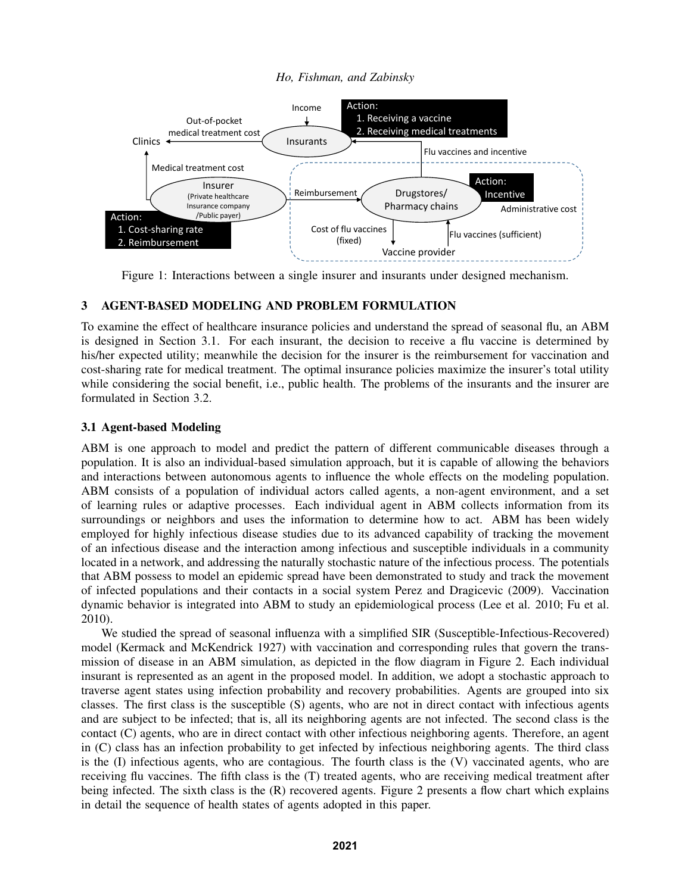



Figure 1: Interactions between a single insurer and insurants under designed mechanism.

# 3 AGENT-BASED MODELING AND PROBLEM FORMULATION

To examine the effect of healthcare insurance policies and understand the spread of seasonal flu, an ABM is designed in Section 3.1. For each insurant, the decision to receive a flu vaccine is determined by his/her expected utility; meanwhile the decision for the insurer is the reimbursement for vaccination and cost-sharing rate for medical treatment. The optimal insurance policies maximize the insurer's total utility while considering the social benefit, i.e., public health. The problems of the insurants and the insurer are formulated in Section 3.2.

# 3.1 Agent-based Modeling

ABM is one approach to model and predict the pattern of different communicable diseases through a population. It is also an individual-based simulation approach, but it is capable of allowing the behaviors and interactions between autonomous agents to influence the whole effects on the modeling population. ABM consists of a population of individual actors called agents, a non-agent environment, and a set of learning rules or adaptive processes. Each individual agent in ABM collects information from its surroundings or neighbors and uses the information to determine how to act. ABM has been widely employed for highly infectious disease studies due to its advanced capability of tracking the movement of an infectious disease and the interaction among infectious and susceptible individuals in a community located in a network, and addressing the naturally stochastic nature of the infectious process. The potentials that ABM possess to model an epidemic spread have been demonstrated to study and track the movement of infected populations and their contacts in a social system Perez and Dragicevic (2009). Vaccination dynamic behavior is integrated into ABM to study an epidemiological process (Lee et al. 2010; Fu et al. 2010).

We studied the spread of seasonal influenza with a simplified SIR (Susceptible-Infectious-Recovered) model (Kermack and McKendrick 1927) with vaccination and corresponding rules that govern the transmission of disease in an ABM simulation, as depicted in the flow diagram in Figure 2. Each individual insurant is represented as an agent in the proposed model. In addition, we adopt a stochastic approach to traverse agent states using infection probability and recovery probabilities. Agents are grouped into six classes. The first class is the susceptible (S) agents, who are not in direct contact with infectious agents and are subject to be infected; that is, all its neighboring agents are not infected. The second class is the contact (C) agents, who are in direct contact with other infectious neighboring agents. Therefore, an agent in (C) class has an infection probability to get infected by infectious neighboring agents. The third class is the (I) infectious agents, who are contagious. The fourth class is the (V) vaccinated agents, who are receiving flu vaccines. The fifth class is the (T) treated agents, who are receiving medical treatment after being infected. The sixth class is the (R) recovered agents. Figure 2 presents a flow chart which explains in detail the sequence of health states of agents adopted in this paper.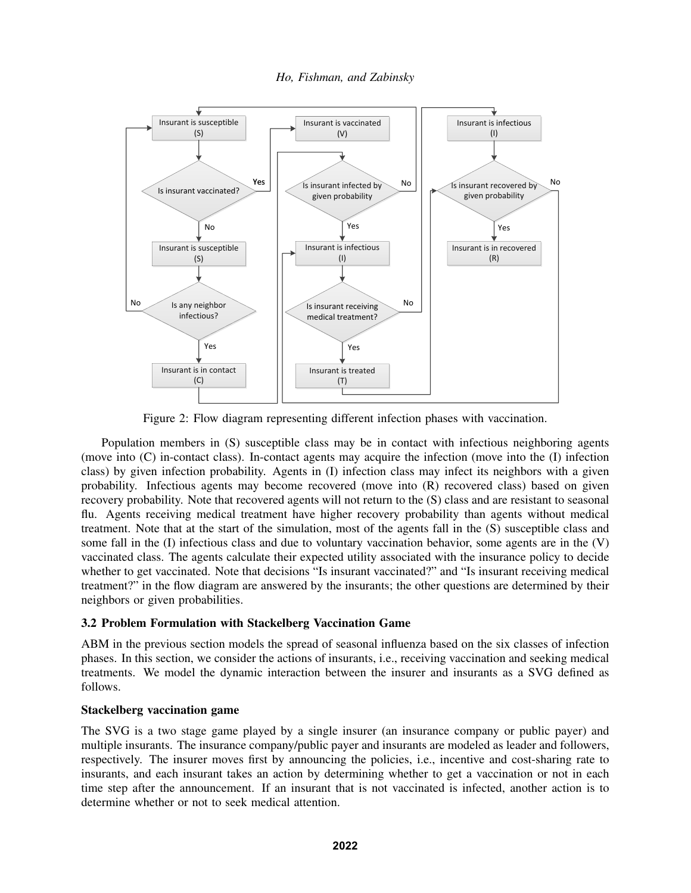

Figure 2: Flow diagram representing different infection phases with vaccination.

Population members in (S) susceptible class may be in contact with infectious neighboring agents (move into (C) in-contact class). In-contact agents may acquire the infection (move into the (I) infection class) by given infection probability. Agents in (I) infection class may infect its neighbors with a given probability. Infectious agents may become recovered (move into (R) recovered class) based on given recovery probability. Note that recovered agents will not return to the (S) class and are resistant to seasonal flu. Agents receiving medical treatment have higher recovery probability than agents without medical treatment. Note that at the start of the simulation, most of the agents fall in the (S) susceptible class and some fall in the (I) infectious class and due to voluntary vaccination behavior, some agents are in the (V) vaccinated class. The agents calculate their expected utility associated with the insurance policy to decide whether to get vaccinated. Note that decisions "Is insurant vaccinated?" and "Is insurant receiving medical treatment?" in the flow diagram are answered by the insurants; the other questions are determined by their neighbors or given probabilities.

### 3.2 Problem Formulation with Stackelberg Vaccination Game

ABM in the previous section models the spread of seasonal influenza based on the six classes of infection phases. In this section, we consider the actions of insurants, i.e., receiving vaccination and seeking medical treatments. We model the dynamic interaction between the insurer and insurants as a SVG defined as follows.

# Stackelberg vaccination game

The SVG is a two stage game played by a single insurer (an insurance company or public payer) and multiple insurants. The insurance company/public payer and insurants are modeled as leader and followers, respectively. The insurer moves first by announcing the policies, i.e., incentive and cost-sharing rate to insurants, and each insurant takes an action by determining whether to get a vaccination or not in each time step after the announcement. If an insurant that is not vaccinated is infected, another action is to determine whether or not to seek medical attention.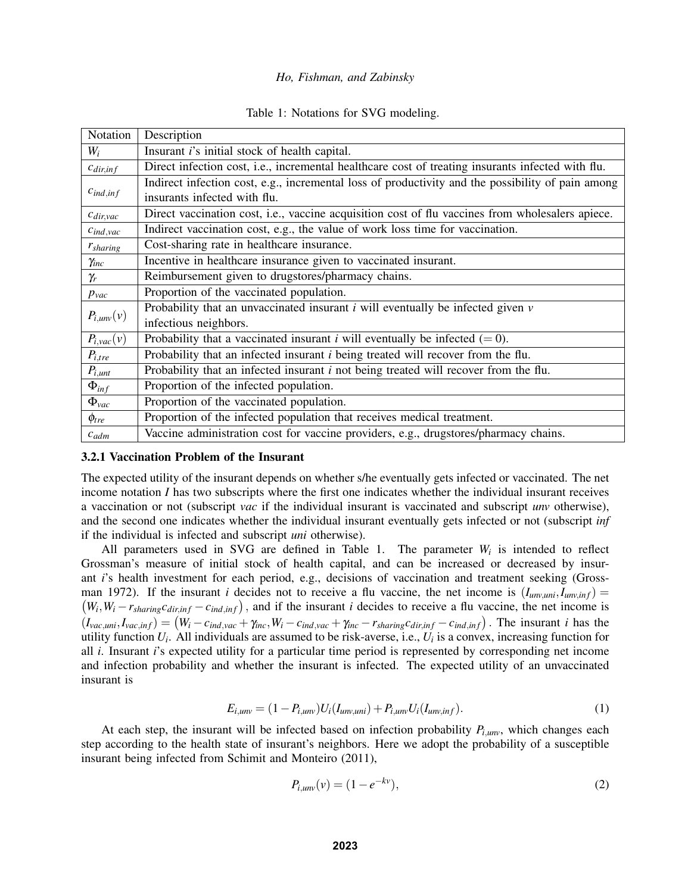| Table 1: Notations for SVG modeling. |  |  |  |
|--------------------------------------|--|--|--|
|--------------------------------------|--|--|--|

| Notation         | Description                                                                                       |  |  |  |  |
|------------------|---------------------------------------------------------------------------------------------------|--|--|--|--|
| $W_i$            | Insurant <i>i</i> 's initial stock of health capital.                                             |  |  |  |  |
| $C_{dir,inf}$    | Direct infection cost, i.e., incremental healthcare cost of treating insurants infected with flu. |  |  |  |  |
|                  | Indirect infection cost, e.g., incremental loss of productivity and the possibility of pain among |  |  |  |  |
| $c_{ind,inf}$    | insurants infected with flu.                                                                      |  |  |  |  |
| $c_{dir,vac}$    | Direct vaccination cost, i.e., vaccine acquisition cost of flu vaccines from wholesalers apiece.  |  |  |  |  |
| $c_{ind,vac}$    | Indirect vaccination cost, e.g., the value of work loss time for vaccination.                     |  |  |  |  |
| $r_{sharing}$    | Cost-sharing rate in healthcare insurance.                                                        |  |  |  |  |
| $\gamma_{inc}$   | Incentive in healthcare insurance given to vaccinated insurant.                                   |  |  |  |  |
| $\gamma_r$       | Reimbursement given to drugstores/pharmacy chains.                                                |  |  |  |  |
| $p_{\text{vac}}$ | Proportion of the vaccinated population.                                                          |  |  |  |  |
| $P_{i,unv}(v)$   | Probability that an unvaccinated insurant $i$ will eventually be infected given $\nu$             |  |  |  |  |
|                  | infectious neighbors.                                                                             |  |  |  |  |
| $P_{i, vac}(v)$  | Probability that a vaccinated insurant <i>i</i> will eventually be infected $(= 0)$ .             |  |  |  |  |
| $P_{i,tre}$      | Probability that an infected insurant <i>i</i> being treated will recover from the flu.           |  |  |  |  |
| $P_{i,unt}$      | Probability that an infected insurant $i$ not being treated will recover from the flu.            |  |  |  |  |
| $\Phi_{inf}$     | Proportion of the infected population.                                                            |  |  |  |  |
| $\Phi_{vac}$     | Proportion of the vaccinated population.                                                          |  |  |  |  |
| $\phi_{tre}$     | Proportion of the infected population that receives medical treatment.                            |  |  |  |  |
| $c_{adm}$        | Vaccine administration cost for vaccine providers, e.g., drugstores/pharmacy chains.              |  |  |  |  |

#### 3.2.1 Vaccination Problem of the Insurant

The expected utility of the insurant depends on whether s/he eventually gets infected or vaccinated. The net income notation *I* has two subscripts where the first one indicates whether the individual insurant receives a vaccination or not (subscript *vac* if the individual insurant is vaccinated and subscript *unv* otherwise), and the second one indicates whether the individual insurant eventually gets infected or not (subscript *inf* if the individual is infected and subscript *uni* otherwise).

All parameters used in SVG are defined in Table 1. The parameter  $W_i$  is intended to reflect Grossman's measure of initial stock of health capital, and can be increased or decreased by insurant *i*'s health investment for each period, e.g., decisions of vaccination and treatment seeking (Grossman 1972). If the insurant *i* decides not to receive a flu vaccine, the net income is  $(I_{unv,uni}, I_{unv,inf})$  =  $(W_i, W_i - r_{sharing}c_{dir, inf} - c_{ind, inf})$ , and if the insurant *i* decides to receive a flu vaccine, the net income is  $(I_{vac,uni}, I_{vac,inf}) = (W_i - c_{ind,vac} + \gamma_{inc}, W_i - c_{ind,vac} + \gamma_{inc} - r_{sharing}c_{dir,inf} - c_{ind,inf})$ . The insurant *i* has the utility function *U<sup>i</sup>* . All individuals are assumed to be risk-averse, i.e., *U<sup>i</sup>* is a convex, increasing function for all *i*. Insurant *i*'s expected utility for a particular time period is represented by corresponding net income and infection probability and whether the insurant is infected. The expected utility of an unvaccinated insurant is

$$
E_{i,unv} = (1 - P_{i,unv})U_i(I_{unv,uni}) + P_{i,unv}U_i(I_{unv,inf}).
$$
\n(1)

At each step, the insurant will be infected based on infection probability *Pi*,*unv*, which changes each step according to the health state of insurant's neighbors. Here we adopt the probability of a susceptible insurant being infected from Schimit and Monteiro (2011),

$$
P_{i,uvw}(v) = (1 - e^{-kv}),
$$
\n(2)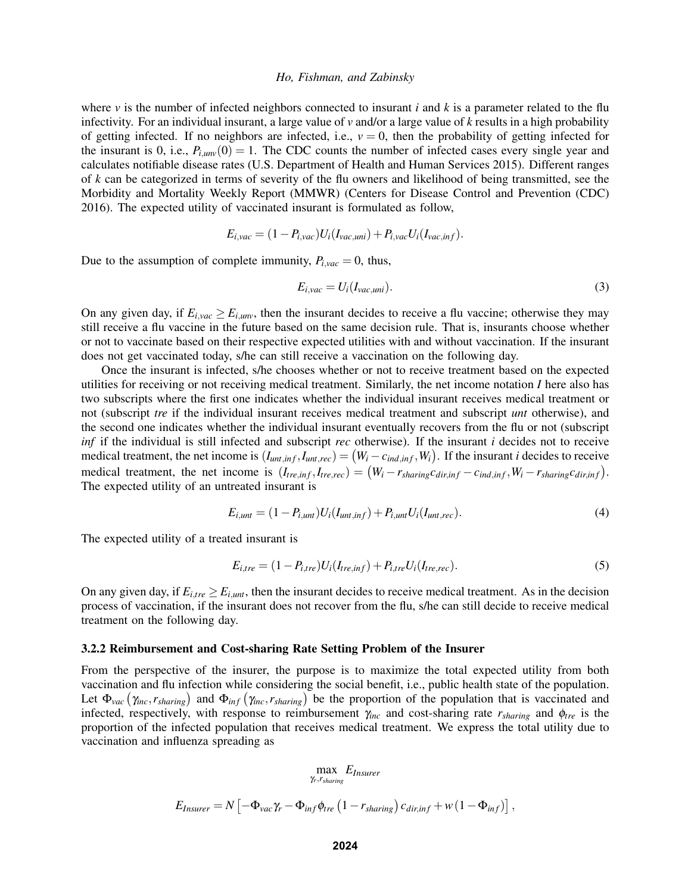where  $\nu$  is the number of infected neighbors connected to insurant *i* and *k* is a parameter related to the flu infectivity. For an individual insurant, a large value of *v* and/or a large value of *k* results in a high probability of getting infected. If no neighbors are infected, i.e.,  $v = 0$ , then the probability of getting infected for the insurant is 0, i.e.,  $P_{i,unv}(0) = 1$ . The CDC counts the number of infected cases every single year and calculates notifiable disease rates (U.S. Department of Health and Human Services 2015). Different ranges of *k* can be categorized in terms of severity of the flu owners and likelihood of being transmitted, see the Morbidity and Mortality Weekly Report (MMWR) (Centers for Disease Control and Prevention (CDC) 2016). The expected utility of vaccinated insurant is formulated as follow,

$$
E_{i, vac} = (1 - P_{i, vac})U_i(I_{vac, uni}) + P_{i, vac}U_i(I_{vac, inf}).
$$

Due to the assumption of complete immunity,  $P_{i, vac} = 0$ , thus,

$$
E_{i, vac} = U_i(I_{vac, uni}).
$$
\n(3)

On any given day, if  $E_{i, vac} \ge E_{i, unv}$ , then the insurant decides to receive a flu vaccine; otherwise they may still receive a flu vaccine in the future based on the same decision rule. That is, insurants choose whether or not to vaccinate based on their respective expected utilities with and without vaccination. If the insurant does not get vaccinated today, s/he can still receive a vaccination on the following day.

Once the insurant is infected, s/he chooses whether or not to receive treatment based on the expected utilities for receiving or not receiving medical treatment. Similarly, the net income notation *I* here also has two subscripts where the first one indicates whether the individual insurant receives medical treatment or not (subscript *tre* if the individual insurant receives medical treatment and subscript *unt* otherwise), and the second one indicates whether the individual insurant eventually recovers from the flu or not (subscript *inf* if the individual is still infected and subscript *rec* otherwise). If the insurant *i* decides not to receive medical treatment, the net income is  $(I_{unt,inf}, I_{unt,rec}) = (W_i - c_{ind,inf}, W_i)$ . If the insurant *i* decides to receive medical treatment, the net income is  $(I_{tre,inf}, I_{tre,rec}) = (W_i - r_{sharing}c_{dir,inf} - c_{ind,inf}, W_i - r_{sharing}c_{dir,inf}).$ The expected utility of an untreated insurant is

$$
E_{i,unt} = (1 - P_{i,unt})U_i(I_{unt,inf}) + P_{i,unt}U_i(I_{unt,rec}).
$$
\n(4)

The expected utility of a treated insurant is

$$
E_{i,tre} = (1 - P_{i,tre})U_i(I_{tre,inf}) + P_{i,tre}U_i(I_{tre,rec}).
$$
\n(5)

On any given day, if  $E_{i,tre} \geq E_{i,unt}$ , then the insurant decides to receive medical treatment. As in the decision process of vaccination, if the insurant does not recover from the flu, s/he can still decide to receive medical treatment on the following day.

#### 3.2.2 Reimbursement and Cost-sharing Rate Setting Problem of the Insurer

From the perspective of the insurer, the purpose is to maximize the total expected utility from both vaccination and flu infection while considering the social benefit, i.e., public health state of the population. Let  $\Phi_{vac}$  ( $\gamma_{inc}$ ,  $r_{sharp}$ ) and  $\Phi_{inf}$  ( $\gamma_{inc}$ ,  $r_{sharp}$ ) be the proportion of the population that is vaccinated and infected, respectively, with response to reimbursement γ*inc* and cost-sharing rate *rsharing* and φ*tre* is the proportion of the infected population that receives medical treatment. We express the total utility due to vaccination and influenza spreading as

$$
\max_{\gamma_r, r_{sharing}} E_{Insurer}
$$
  
\n
$$
E_{Insurer} = N \left[ -\Phi_{vac} \gamma_r - \Phi_{inf} \phi_{tre} \left( 1 - r_{sharing} \right) c_{dir, inf} + w \left( 1 - \Phi_{inf} \right) \right],
$$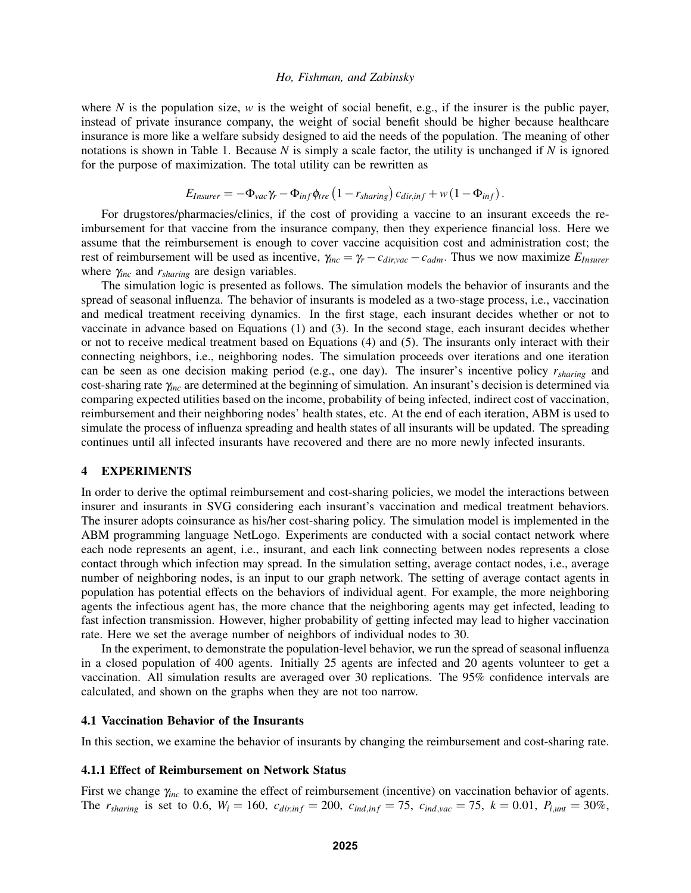where *N* is the population size, *w* is the weight of social benefit, e.g., if the insurer is the public payer, instead of private insurance company, the weight of social benefit should be higher because healthcare insurance is more like a welfare subsidy designed to aid the needs of the population. The meaning of other notations is shown in Table 1. Because *N* is simply a scale factor, the utility is unchanged if *N* is ignored for the purpose of maximization. The total utility can be rewritten as

$$
E_{Insurer} = -\Phi_{vac} \gamma_r - \Phi_{inf} \phi_{tre} \left(1 - r_{sharing}\right) c_{dir, inf} + w \left(1 - \Phi_{inf}\right)
$$

For drugstores/pharmacies/clinics, if the cost of providing a vaccine to an insurant exceeds the reimbursement for that vaccine from the insurance company, then they experience financial loss. Here we assume that the reimbursement is enough to cover vaccine acquisition cost and administration cost; the rest of reimbursement will be used as incentive,  $\gamma_{inc} = \gamma_r - c_{dir,vac} - c_{adm}$ . Thus we now maximize  $E_{Insurer}$ where γ*inc* and *rsharing* are design variables.

The simulation logic is presented as follows. The simulation models the behavior of insurants and the spread of seasonal influenza. The behavior of insurants is modeled as a two-stage process, i.e., vaccination and medical treatment receiving dynamics. In the first stage, each insurant decides whether or not to vaccinate in advance based on Equations (1) and (3). In the second stage, each insurant decides whether or not to receive medical treatment based on Equations (4) and (5). The insurants only interact with their connecting neighbors, i.e., neighboring nodes. The simulation proceeds over iterations and one iteration can be seen as one decision making period (e.g., one day). The insurer's incentive policy *rsharing* and cost-sharing rate γ*inc* are determined at the beginning of simulation. An insurant's decision is determined via comparing expected utilities based on the income, probability of being infected, indirect cost of vaccination, reimbursement and their neighboring nodes' health states, etc. At the end of each iteration, ABM is used to simulate the process of influenza spreading and health states of all insurants will be updated. The spreading continues until all infected insurants have recovered and there are no more newly infected insurants.

# 4 EXPERIMENTS

In order to derive the optimal reimbursement and cost-sharing policies, we model the interactions between insurer and insurants in SVG considering each insurant's vaccination and medical treatment behaviors. The insurer adopts coinsurance as his/her cost-sharing policy. The simulation model is implemented in the ABM programming language NetLogo. Experiments are conducted with a social contact network where each node represents an agent, i.e., insurant, and each link connecting between nodes represents a close contact through which infection may spread. In the simulation setting, average contact nodes, i.e., average number of neighboring nodes, is an input to our graph network. The setting of average contact agents in population has potential effects on the behaviors of individual agent. For example, the more neighboring agents the infectious agent has, the more chance that the neighboring agents may get infected, leading to fast infection transmission. However, higher probability of getting infected may lead to higher vaccination rate. Here we set the average number of neighbors of individual nodes to 30.

In the experiment, to demonstrate the population-level behavior, we run the spread of seasonal influenza in a closed population of 400 agents. Initially 25 agents are infected and 20 agents volunteer to get a vaccination. All simulation results are averaged over 30 replications. The 95% confidence intervals are calculated, and shown on the graphs when they are not too narrow.

# 4.1 Vaccination Behavior of the Insurants

In this section, we examine the behavior of insurants by changing the reimbursement and cost-sharing rate.

# 4.1.1 Effect of Reimbursement on Network Status

First we change γ*inc* to examine the effect of reimbursement (incentive) on vaccination behavior of agents. The  $r_{sharing}$  is set to 0.6,  $W_i = 160$ ,  $c_{dir, inf} = 200$ ,  $c_{ind, inf} = 75$ ,  $c_{ind, vac} = 75$ ,  $k = 0.01$ ,  $P_{i, unit} = 30\%$ ,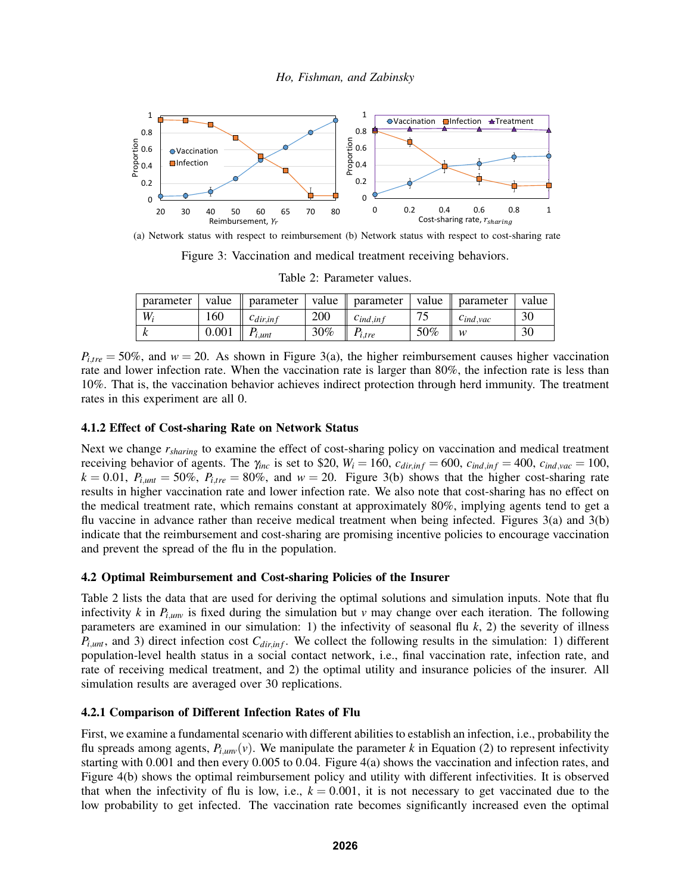

(a) Network status with respect to reimbursement (b) Network status with respect to cost-sharing rate

Figure 3: Vaccination and medical treatment receiving behaviors.

Table 2: Parameter values.

| parameter | value | parameter      |        | value    parameter | value | parameter     | value |
|-----------|-------|----------------|--------|--------------------|-------|---------------|-------|
| W         | 160   | $C_{dir, inf}$ | 200    | $C_{ind,inf}$      | 75    | $c_{ind,vac}$ | 30    |
| v         | 0.001 | $i$ .unt       | $30\%$ | i.tre              | 50%   | W             | 30    |

 $P_{\text{i},\text{tree}} = 50\%$ , and  $w = 20$ . As shown in Figure 3(a), the higher reimbursement causes higher vaccination rate and lower infection rate. When the vaccination rate is larger than 80%, the infection rate is less than 10%. That is, the vaccination behavior achieves indirect protection through herd immunity. The treatment rates in this experiment are all 0.

### 4.1.2 Effect of Cost-sharing Rate on Network Status

Next we change *rsharing* to examine the effect of cost-sharing policy on vaccination and medical treatment receiving behavior of agents. The  $\gamma_{inc}$  is set to \$20,  $W_i = 160$ ,  $c_{dir, inf} = 600$ ,  $c_{ind, inf} = 400$ ,  $c_{ind, vac} = 100$ ,  $k = 0.01$ ,  $P_{i,unt} = 50\%$ ,  $P_{i,tre} = 80\%$ , and  $w = 20$ . Figure 3(b) shows that the higher cost-sharing rate results in higher vaccination rate and lower infection rate. We also note that cost-sharing has no effect on the medical treatment rate, which remains constant at approximately 80%, implying agents tend to get a flu vaccine in advance rather than receive medical treatment when being infected. Figures 3(a) and 3(b) indicate that the reimbursement and cost-sharing are promising incentive policies to encourage vaccination and prevent the spread of the flu in the population.

# 4.2 Optimal Reimbursement and Cost-sharing Policies of the Insurer

Table 2 lists the data that are used for deriving the optimal solutions and simulation inputs. Note that flu infectivity *k* in  $P_{i,uvv}$  is fixed during the simulation but *v* may change over each iteration. The following parameters are examined in our simulation: 1) the infectivity of seasonal flu *k*, 2) the severity of illness *P*<sub>*i*,*unt*</sub>, and 3) direct infection cost  $C_{dir, inf}$ . We collect the following results in the simulation: 1) different population-level health status in a social contact network, i.e., final vaccination rate, infection rate, and rate of receiving medical treatment, and 2) the optimal utility and insurance policies of the insurer. All simulation results are averaged over 30 replications.

# 4.2.1 Comparison of Different Infection Rates of Flu

First, we examine a fundamental scenario with different abilities to establish an infection, i.e., probability the flu spreads among agents,  $P_{i,unv}(v)$ . We manipulate the parameter *k* in Equation (2) to represent infectivity starting with 0.001 and then every 0.005 to 0.04. Figure 4(a) shows the vaccination and infection rates, and Figure 4(b) shows the optimal reimbursement policy and utility with different infectivities. It is observed that when the infectivity of flu is low, i.e.,  $k = 0.001$ , it is not necessary to get vaccinated due to the low probability to get infected. The vaccination rate becomes significantly increased even the optimal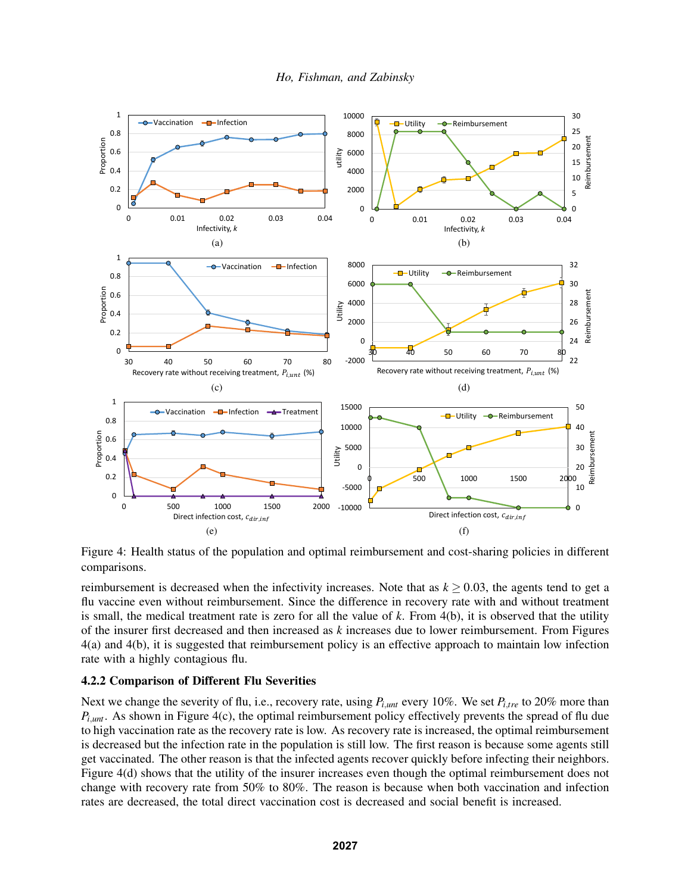



Figure 4: Health status of the population and optimal reimbursement and cost-sharing policies in different comparisons.

reimbursement is decreased when the infectivity increases. Note that as  $k \ge 0.03$ , the agents tend to get a flu vaccine even without reimbursement. Since the difference in recovery rate with and without treatment is small, the medical treatment rate is zero for all the value of *k*. From 4(b), it is observed that the utility of the insurer first decreased and then increased as *k* increases due to lower reimbursement. From Figures 4(a) and 4(b), it is suggested that reimbursement policy is an effective approach to maintain low infection rate with a highly contagious flu.

# 4.2.2 Comparison of Different Flu Severities

Next we change the severity of flu, i.e., recovery rate, using *Pi*,*unt* every 10%. We set *Pi*,*tre* to 20% more than *P*<sub>*i*,*unt*</sub>. As shown in Figure 4(c), the optimal reimbursement policy effectively prevents the spread of flu due to high vaccination rate as the recovery rate is low. As recovery rate is increased, the optimal reimbursement is decreased but the infection rate in the population is still low. The first reason is because some agents still get vaccinated. The other reason is that the infected agents recover quickly before infecting their neighbors. Figure 4(d) shows that the utility of the insurer increases even though the optimal reimbursement does not change with recovery rate from 50% to 80%. The reason is because when both vaccination and infection rates are decreased, the total direct vaccination cost is decreased and social benefit is increased.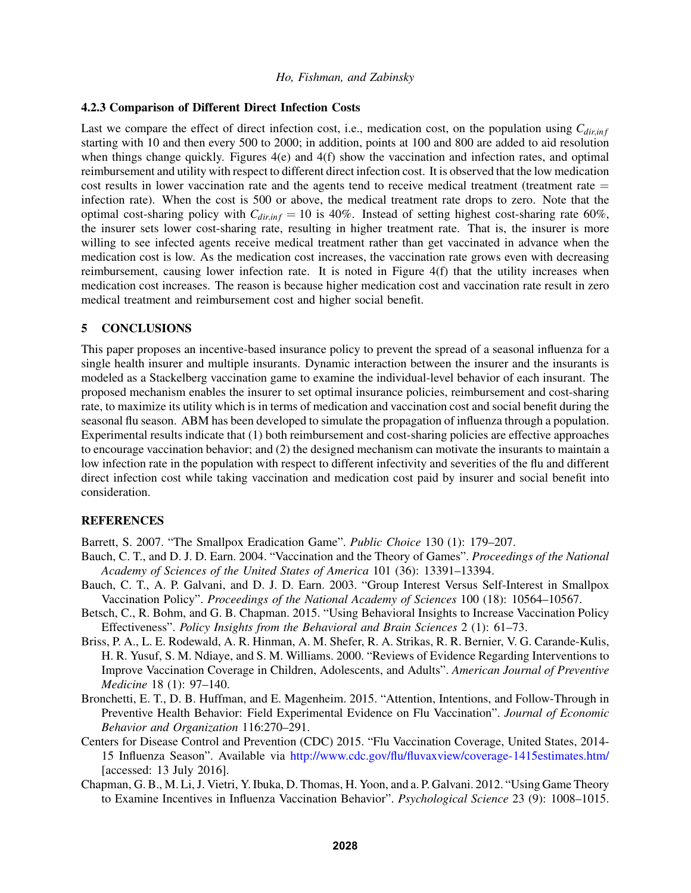## 4.2.3 Comparison of Different Direct Infection Costs

Last we compare the effect of direct infection cost, i.e., medication cost, on the population using  $C_{dir,inf}$ starting with 10 and then every 500 to 2000; in addition, points at 100 and 800 are added to aid resolution when things change quickly. Figures 4(e) and 4(f) show the vaccination and infection rates, and optimal reimbursement and utility with respect to different direct infection cost. It is observed that the low medication cost results in lower vaccination rate and the agents tend to receive medical treatment (treatment rate = infection rate). When the cost is 500 or above, the medical treatment rate drops to zero. Note that the optimal cost-sharing policy with  $C_{dir, inf} = 10$  is 40%. Instead of setting highest cost-sharing rate 60%, the insurer sets lower cost-sharing rate, resulting in higher treatment rate. That is, the insurer is more willing to see infected agents receive medical treatment rather than get vaccinated in advance when the medication cost is low. As the medication cost increases, the vaccination rate grows even with decreasing reimbursement, causing lower infection rate. It is noted in Figure 4(f) that the utility increases when medication cost increases. The reason is because higher medication cost and vaccination rate result in zero medical treatment and reimbursement cost and higher social benefit.

# 5 CONCLUSIONS

This paper proposes an incentive-based insurance policy to prevent the spread of a seasonal influenza for a single health insurer and multiple insurants. Dynamic interaction between the insurer and the insurants is modeled as a Stackelberg vaccination game to examine the individual-level behavior of each insurant. The proposed mechanism enables the insurer to set optimal insurance policies, reimbursement and cost-sharing rate, to maximize its utility which is in terms of medication and vaccination cost and social benefit during the seasonal flu season. ABM has been developed to simulate the propagation of influenza through a population. Experimental results indicate that (1) both reimbursement and cost-sharing policies are effective approaches to encourage vaccination behavior; and (2) the designed mechanism can motivate the insurants to maintain a low infection rate in the population with respect to different infectivity and severities of the flu and different direct infection cost while taking vaccination and medication cost paid by insurer and social benefit into consideration.

## **REFERENCES**

Barrett, S. 2007. "The Smallpox Eradication Game". *Public Choice* 130 (1): 179–207.

- Bauch, C. T., and D. J. D. Earn. 2004. "Vaccination and the Theory of Games". *Proceedings of the National Academy of Sciences of the United States of America* 101 (36): 13391–13394.
- Bauch, C. T., A. P. Galvani, and D. J. D. Earn. 2003. "Group Interest Versus Self-Interest in Smallpox Vaccination Policy". *Proceedings of the National Academy of Sciences* 100 (18): 10564–10567.
- Betsch, C., R. Bohm, and G. B. Chapman. 2015. "Using Behavioral Insights to Increase Vaccination Policy Effectiveness". *Policy Insights from the Behavioral and Brain Sciences* 2 (1): 61–73.
- Briss, P. A., L. E. Rodewald, A. R. Hinman, A. M. Shefer, R. A. Strikas, R. R. Bernier, V. G. Carande-Kulis, H. R. Yusuf, S. M. Ndiaye, and S. M. Williams. 2000. "Reviews of Evidence Regarding Interventions to Improve Vaccination Coverage in Children, Adolescents, and Adults". *American Journal of Preventive Medicine* 18 (1): 97–140.
- Bronchetti, E. T., D. B. Huffman, and E. Magenheim. 2015. "Attention, Intentions, and Follow-Through in Preventive Health Behavior: Field Experimental Evidence on Flu Vaccination". *Journal of Economic Behavior and Organization* 116:270–291.
- Centers for Disease Control and Prevention (CDC) 2015. "Flu Vaccination Coverage, United States, 2014- 15 Influenza Season". Available via http://www.cdc.gov/flu/fluvaxview/coverage-1415estimates.htm/ [accessed: 13 July 2016].
- Chapman, G. B., M. Li, J. Vietri, Y. Ibuka, D. Thomas, H. Yoon, and a. P. Galvani. 2012. "Using Game Theory to Examine Incentives in Influenza Vaccination Behavior". *Psychological Science* 23 (9): 1008–1015.